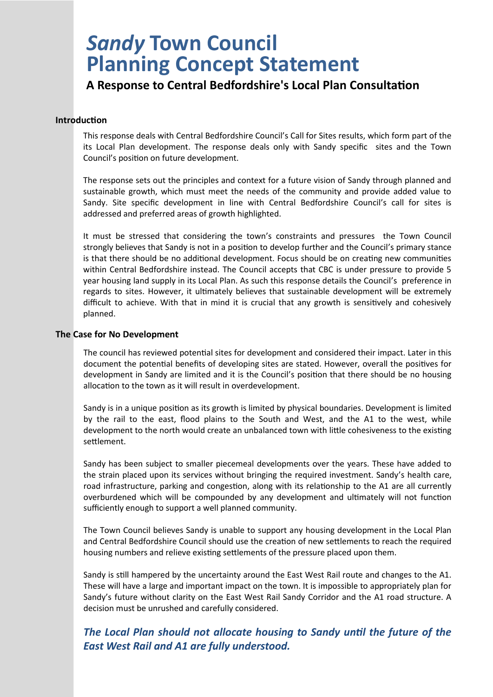# *Sandy* **Town Council Planning Concept Statement**

### **A Response to Central Bedfordshire's Local Plan Consultation**

#### **Introduction**

This response deals with Central Bedfordshire Council's Call for Sites results, which form part of the its Local Plan development. The response deals only with Sandy specific sites and the Town Council's position on future development.

The response sets out the principles and context for a future vision of Sandy through planned and sustainable growth, which must meet the needs of the community and provide added value to Sandy. Site specific development in line with Central Bedfordshire Council's call for sites is addressed and preferred areas of growth highlighted.

It must be stressed that considering the town's constraints and pressures the Town Council strongly believes that Sandy is not in a position to develop further and the Council's primary stance is that there should be no additional development. Focus should be on creating new communities within Central Bedfordshire instead. The Council accepts that CBC is under pressure to provide 5 year housing land supply in its Local Plan. As such this response details the Council's preference in regards to sites. However, it ultimately believes that sustainable development will be extremely difficult to achieve. With that in mind it is crucial that any growth is sensitively and cohesively planned.

#### **The Case for No Development**

The council has reviewed potential sites for development and considered their impact. Later in this document the potential benefits of developing sites are stated. However, overall the positives for development in Sandy are limited and it is the Council's position that there should be no housing allocation to the town as it will result in overdevelopment.

Sandy is in a unique position as its growth is limited by physical boundaries. Development is limited by the rail to the east, flood plains to the South and West, and the A1 to the west, while development to the north would create an unbalanced town with little cohesiveness to the existing settlement.

Sandy has been subject to smaller piecemeal developments over the years. These have added to the strain placed upon its services without bringing the required investment. Sandy's health care, road infrastructure, parking and congestion, along with its relationship to the A1 are all currently overburdened which will be compounded by any development and ultimately will not function sufficiently enough to support a well planned community.

The Town Council believes Sandy is unable to support any housing development in the Local Plan and Central Bedfordshire Council should use the creation of new settlements to reach the required housing numbers and relieve existing settlements of the pressure placed upon them.

Sandy is still hampered by the uncertainty around the East West Rail route and changes to the A1. These will have a large and important impact on the town. It is impossible to appropriately plan for Sandy's future without clarity on the East West Rail Sandy Corridor and the A1 road structure. A decision must be unrushed and carefully considered.

#### *The Local Plan should not allocate housing to Sandy until the future of the East West Rail and A1 are fully understood.*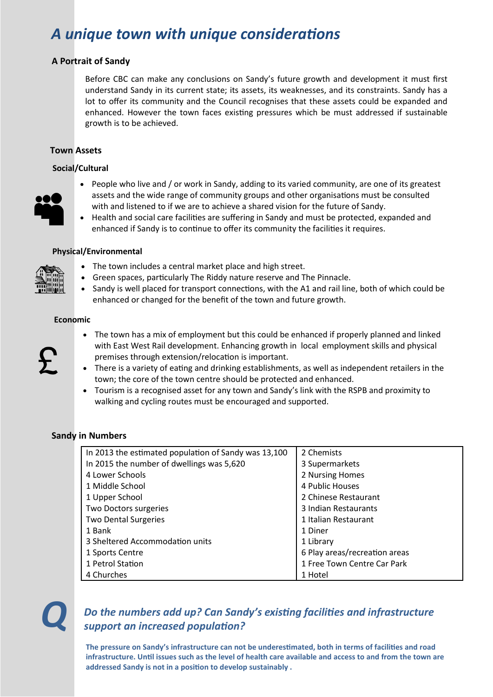## *A unique town with unique considerations*

#### **A Portrait of Sandy**

Before CBC can make any conclusions on Sandy's future growth and development it must first understand Sandy in its current state; its assets, its weaknesses, and its constraints. Sandy has a lot to offer its community and the Council recognises that these assets could be expanded and enhanced. However the town faces existing pressures which be must addressed if sustainable growth is to be achieved.

#### **Town Assets**

#### **Social/Cultural**



- People who live and / or work in Sandy, adding to its varied community, are one of its greatest assets and the wide range of community groups and other organisations must be consulted with and listened to if we are to achieve a shared vision for the future of Sandy.
- Health and social care facilities are suffering in Sandy and must be protected, expanded and enhanced if Sandy is to continue to offer its community the facilities it requires.

#### **Physical/Environmental**



- The town includes a central market place and high street.
- Green spaces, particularly The Riddy nature reserve and The Pinnacle.
- Sandy is well placed for transport connections, with the A1 and rail line, both of which could be enhanced or changed for the benefit of the town and future growth.

#### **Economic**

- The town has a mix of employment but this could be enhanced if properly planned and linked with East West Rail development. Enhancing growth in local employment skills and physical premises through extension/relocation is important.
- There is a variety of eating and drinking establishments, as well as independent retailers in the town; the core of the town centre should be protected and enhanced.
- Tourism is a recognised asset for any town and Sandy's link with the RSPB and proximity to walking and cycling routes must be encouraged and supported.

#### **Sandy in Numbers**

| In 2013 the estimated population of Sandy was 13,100 | 2 Chemists                    |  |
|------------------------------------------------------|-------------------------------|--|
| In 2015 the number of dwellings was 5,620            | 3 Supermarkets                |  |
| 4 Lower Schools                                      | 2 Nursing Homes               |  |
| 1 Middle School                                      | 4 Public Houses               |  |
| 1 Upper School                                       | 2 Chinese Restaurant          |  |
| Two Doctors surgeries                                | 3 Indian Restaurants          |  |
| <b>Two Dental Surgeries</b>                          | 1 Italian Restaurant          |  |
| 1 Bank                                               | 1 Diner                       |  |
| 3 Sheltered Accommodation units                      | 1 Library                     |  |
| 1 Sports Centre                                      | 6 Play areas/recreation areas |  |
| 1 Petrol Station                                     | 1 Free Town Centre Car Park   |  |
| 4 Churches                                           | 1 Hotel                       |  |

# *Do the numbers add up? Can Sandy's existing facilities and infrastructure support an increased population?*

**The pressure on Sandy's infrastructure can not be underestimated, both in terms of facilities and road infrastructure. Until issues such as the level of health care available and access to and from the town are addressed Sandy is not in a position to develop sustainably .**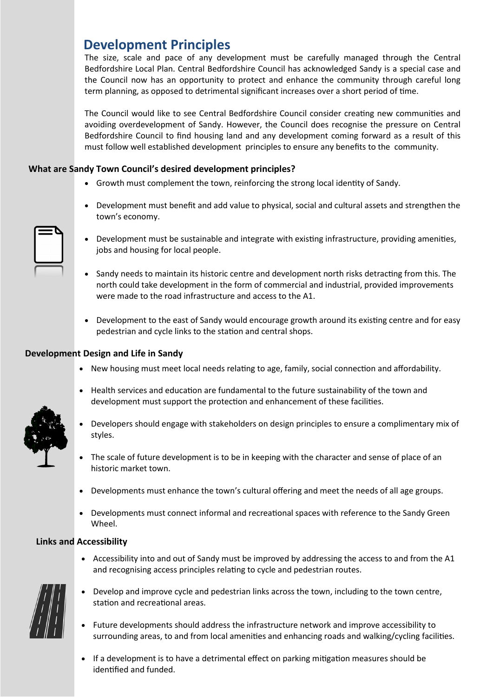### **Development Principles**

The size, scale and pace of any development must be carefully managed through the Central Bedfordshire Local Plan. Central Bedfordshire Council has acknowledged Sandy is a special case and the Council now has an opportunity to protect and enhance the community through careful long term planning, as opposed to detrimental significant increases over a short period of time.

The Council would like to see Central Bedfordshire Council consider creating new communities and avoiding overdevelopment of Sandy. However, the Council does recognise the pressure on Central Bedfordshire Council to find housing land and any development coming forward as a result of this must follow well established development principles to ensure any benefits to the community.

#### **What are Sandy Town Council's desired development principles?**

- Growth must complement the town, reinforcing the strong local identity of Sandy.
- Development must benefit and add value to physical, social and cultural assets and strengthen the town's economy.

- Development must be sustainable and integrate with existing infrastructure, providing amenities, jobs and housing for local people.
- Sandy needs to maintain its historic centre and development north risks detracting from this. The north could take development in the form of commercial and industrial, provided improvements were made to the road infrastructure and access to the A1.
- Development to the east of Sandy would encourage growth around its existing centre and for easy pedestrian and cycle links to the station and central shops.

#### **Development Design and Life in Sandy**

- New housing must meet local needs relating to age, family, social connection and affordability.
- Health services and education are fundamental to the future sustainability of the town and development must support the protection and enhancement of these facilities.
- Developers should engage with stakeholders on design principles to ensure a complimentary mix of styles.
- The scale of future development is to be in keeping with the character and sense of place of an historic market town.
- Developments must enhance the town's cultural offering and meet the needs of all age groups.
- Developments must connect informal and recreational spaces with reference to the Sandy Green Wheel.

#### **Links and Accessibility**

• Accessibility into and out of Sandy must be improved by addressing the access to and from the A1 and recognising access principles relating to cycle and pedestrian routes.



- Develop and improve cycle and pedestrian links across the town, including to the town centre, station and recreational areas.
- Future developments should address the infrastructure network and improve accessibility to surrounding areas, to and from local amenities and enhancing roads and walking/cycling facilities.
- If a development is to have a detrimental effect on parking mitigation measures should be identified and funded.

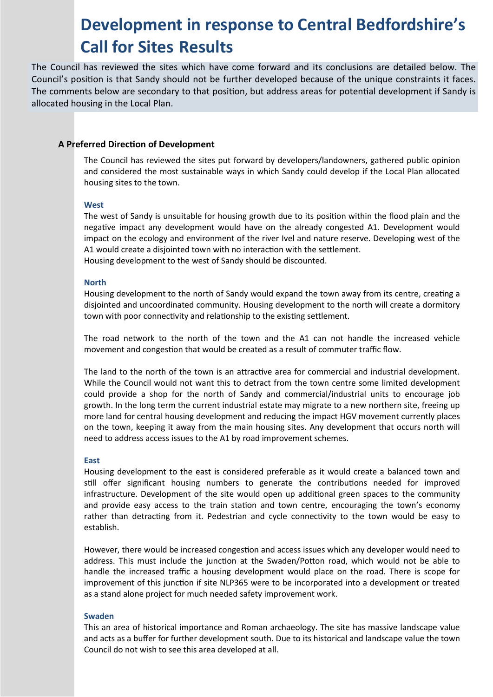# **Development in response to Central Bedfordshire's Call for Sites Results**

The Council has reviewed the sites which have come forward and its conclusions are detailed below. The Council's position is that Sandy should not be further developed because of the unique constraints it faces. The comments below are secondary to that position, but address areas for potential development if Sandy is allocated housing in the Local Plan.

#### **A Preferred Direction of Development**

The Council has reviewed the sites put forward by developers/landowners, gathered public opinion and considered the most sustainable ways in which Sandy could develop if the Local Plan allocated housing sites to the town.

#### **West**

The west of Sandy is unsuitable for housing growth due to its position within the flood plain and the negative impact any development would have on the already congested A1. Development would impact on the ecology and environment of the river Ivel and nature reserve. Developing west of the A1 would create a disjointed town with no interaction with the settlement. Housing development to the west of Sandy should be discounted.

#### **North**

Housing development to the north of Sandy would expand the town away from its centre, creating a disjointed and uncoordinated community. Housing development to the north will create a dormitory town with poor connectivity and relationship to the existing settlement.

The road network to the north of the town and the A1 can not handle the increased vehicle movement and congestion that would be created as a result of commuter traffic flow.

The land to the north of the town is an attractive area for commercial and industrial development. While the Council would not want this to detract from the town centre some limited development could provide a shop for the north of Sandy and commercial/industrial units to encourage job growth. In the long term the current industrial estate may migrate to a new northern site, freeing up more land for central housing development and reducing the impact HGV movement currently places on the town, keeping it away from the main housing sites. Any development that occurs north will need to address access issues to the A1 by road improvement schemes.

#### **East**

Housing development to the east is considered preferable as it would create a balanced town and still offer significant housing numbers to generate the contributions needed for improved infrastructure. Development of the site would open up additional green spaces to the community and provide easy access to the train station and town centre, encouraging the town's economy rather than detracting from it. Pedestrian and cycle connectivity to the town would be easy to establish.

However, there would be increased congestion and access issues which any developer would need to address. This must include the junction at the Swaden/Potton road, which would not be able to handle the increased traffic a housing development would place on the road. There is scope for improvement of this junction if site NLP365 were to be incorporated into a development or treated as a stand alone project for much needed safety improvement work.

#### **Swaden**

This an area of historical importance and Roman archaeology. The site has massive landscape value and acts as a buffer for further development south. Due to its historical and landscape value the town Council do not wish to see this area developed at all.